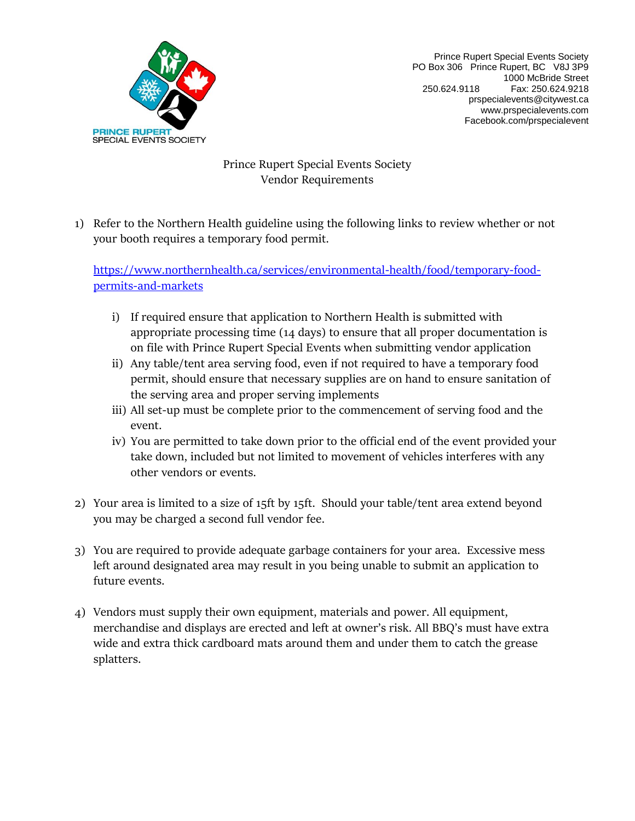

Prince Rupert Special Events Society PO Box 306 Prince Rupert, BC V8J 3P9 1000 McBride Street 250.624.9118 Fax: 250.624.9218 [prspecialevents@citywest.](mailto:prspecialevents@citytel.net)ca www.prspecialevents.com Facebook.com/prspecialevent

## Prince Rupert Special Events Society Vendor Requirements

1) Refer to the Northern Health guideline using the following links to review whether or not your booth requires a temporary food permit.

[https://www.northernhealth.ca/services/environmental-health/food/temporary-food](https://www.northernhealth.ca/services/environmental-health/food/temporary-food-permits-and-markets)[permits-and-markets](https://www.northernhealth.ca/services/environmental-health/food/temporary-food-permits-and-markets)

- i) If required ensure that application to Northern Health is submitted with appropriate processing time (14 days) to ensure that all proper documentation is on file with Prince Rupert Special Events when submitting vendor application
- ii) Any table/tent area serving food, even if not required to have a temporary food permit, should ensure that necessary supplies are on hand to ensure sanitation of the serving area and proper serving implements
- iii) All set-up must be complete prior to the commencement of serving food and the event.
- iv) You are permitted to take down prior to the official end of the event provided your take down, included but not limited to movement of vehicles interferes with any other vendors or events.
- 2) Your area is limited to a size of 15ft by 15ft. Should your table/tent area extend beyond you may be charged a second full vendor fee.
- 3) You are required to provide adequate garbage containers for your area. Excessive mess left around designated area may result in you being unable to submit an application to future events.
- 4) Vendors must supply their own equipment, materials and power. All equipment, merchandise and displays are erected and left at owner's risk. All BBQ's must have extra wide and extra thick cardboard mats around them and under them to catch the grease splatters.